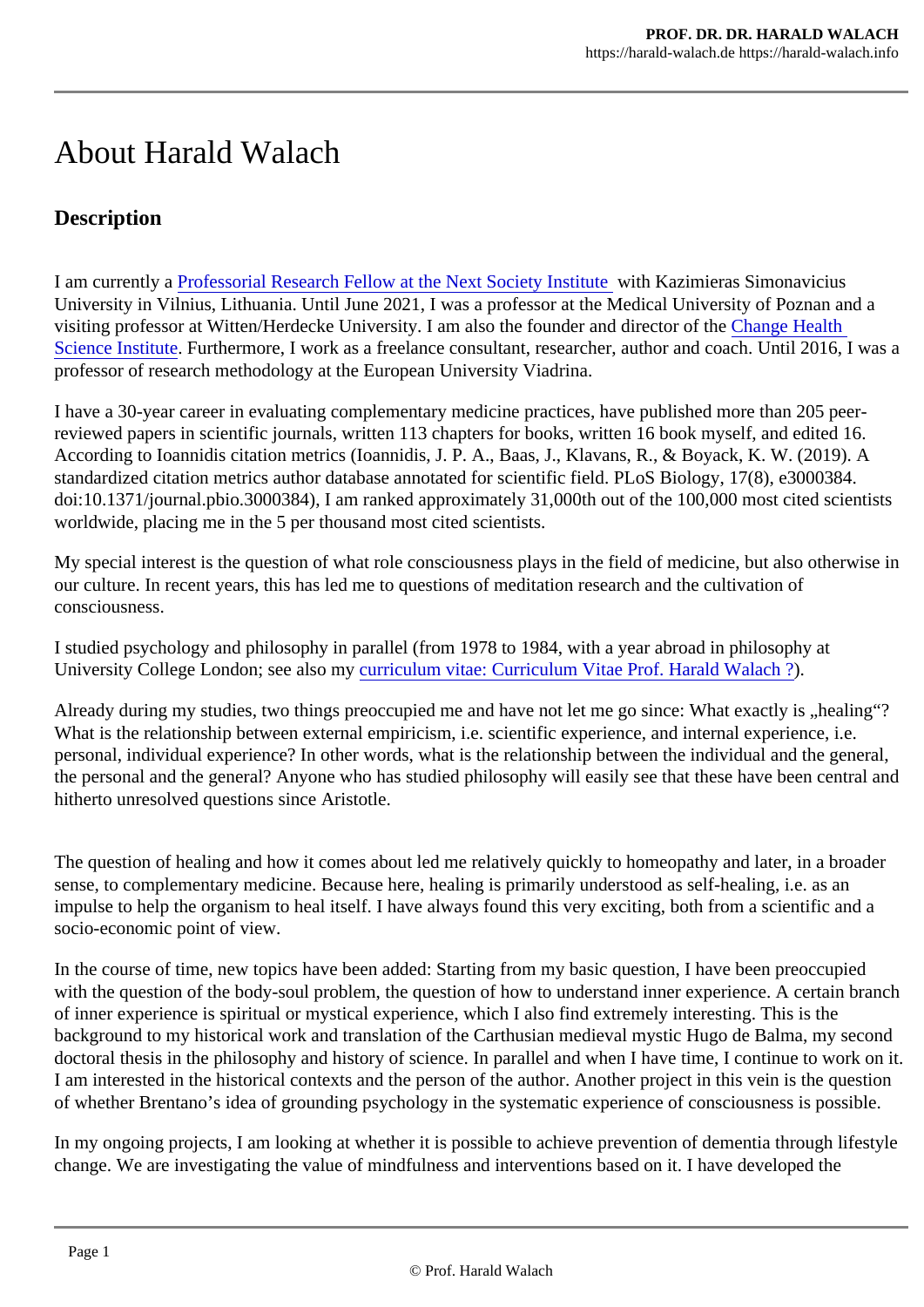## About Harald Walach

## **Description**

I am currently aProfessorial Research Fellow at the Next Society Institute Kazimieras Simonavicius University in Vilnius, Lithuania. Until June 2021, I was a professor at the Medical University of Poznan and visiting professor at Witten/Herdecke University. I am also the founder and director Change Health [Science Institut](http://chs-institute.org/)eFurthermore, I work as a freelance consultant, researcher, author and coach[.](http://chs-institute.org/) Until 2016, professor of research methodology at the European University Viadrina.

I have a 30-year career in evaluating complementary medicine practices, have published more than 205 perreviewed papers in scientific journals, written 113 chapters for books, written 16 book myself, and edited 1 According to Ioannidis citation metrics (Ioannidis, J. P. A., Baas, J., Klavans, R., & Boyack, K. W. (2019). standardized citation metrics author database annotated for scientific field. PLoS Biology, 17(8), e3000384 doi:10.1371/journal.pbio.3000384), I am ranked approximately 31,000th out of the 100,000 most cited scie worldwide, placing me in the 5 per thousand most cited scientists.

My special interest is the question of what role consciousness plays in the field of medicine, but also other our culture. In recent years, this has led me to questions of meditation research and the cultivation of consciousness.

I studied psychology and philosophy in parallel (from 1978 to 1984, with a year abroad in philosophy at University College London; see also ray riculum vitae: Curriculum Vitae Prof. Harald Walach ?

Already during my studies, two things preoccupied me and have not let me go since: What exactly is "heal What is the relationship between external empiricism, i.e. scientific experience, and internal experience, i.e. personal, individual experience? In other words, what is the relationship between the individual and the ge the personal and the general? Anyone who has studied philosophy will easily see that these have been ce hitherto unresolved questions since Aristotle.

The question of healing and how it comes about led me relatively quickly to homeopathy and later, in a broad sense, to complementary medicine. Because here, healing is primarily understood as self-healing, i.e. as and impulse to help the organism to heal itself. I have always found this very exciting, both from a scientific an socio-economic point of view.

In the course of time, new topics have been added: Starting from my basic question, I have been preoccup with the question of the body-soul problem, the question of how to understand inner experience. A certain of inner experience is spiritual or mystical experience, which I also find extremely interesting. This is the background to my historical work and translation of the Carthusian medieval mystic Hugo de Balma, my set doctoral thesis in the philosophy and history of science. In parallel and when I have time, I continue to work I am interested in the historical contexts and the person of the author. Another project in this vein is the qu of whether Brentano's idea of grounding psychology in the systematic experience of consciousness is pos

In my ongoing projects, I am looking at whether it is possible to achieve prevention of dementia through lift change. We are investigating the value of mindfulness and interventions based on it. I have developed the